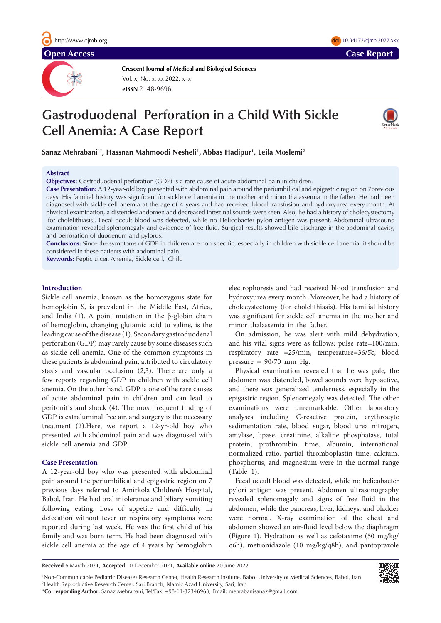**Crescent Journal of Medical and Biological Sciences eISSN** 2148-9696 Vol. x, No. x, xx 2022, x–x

# **Gastroduodenal Perforation in a Child With Sickle Cell Anemia: A Case Report**



doi 10.34172/cjmb.2022.xxx

**Sanaz Mehrabani1\*, Hassnan Mahmoodi Nesheli1 , Abbas Hadipur1 , Leila Moslemi2**

# **Abstract**

**Objectives:** Gastroduodenal perforation (GDP) is a rare cause of acute abdominal pain in children.

**Case Presentation:** A 12-year-old boy presented with abdominal pain around the periumbilical and epigastric region on 7previous days. His familial history was significant for sickle cell anemia in the mother and minor thalassemia in the father. He had been diagnosed with sickle cell anemia at the age of 4 years and had received blood transfusion and hydroxyurea every month. At physical examination, a distended abdomen and decreased intestinal sounds were seen. Also, he had a history of cholecystectomy (for cholelithiasis). Fecal occult blood was detected, while no Helicobacter pylori antigen was present. Abdominal ultrasound examination revealed splenomegaly and evidence of free fluid. Surgical results showed bile discharge in the abdominal cavity, and perforation of duodenum and pylorus.

**Open Access Case Report** Case Report

**Conclusions:** Since the symptoms of GDP in children are non-specific, especially in children with sickle cell anemia, it should be considered in these patients with abdominal pain.

**Keywords:** Peptic ulcer, Anemia, Sickle cell, Child

## **Introduction**

Sickle cell anemia, known as the homozygous state for hemoglobin S, is prevalent in the Middle East, Africa, and India (1). A point mutation in the β-globin chain of hemoglobin, changing glutamic acid to valine, is the leading cause of the disease (1). Secondary gastroduodenal perforation (GDP) may rarely cause by some diseases such as sickle cell anemia. One of the common symptoms in these patients is abdominal pain, attributed to circulatory stasis and vascular occlusion (2,3). There are only a few reports regarding GDP in children with sickle cell anemia. On the other hand, GDP is one of the rare causes of acute abdominal pain in children and can lead to peritonitis and shock (4). The most frequent finding of GDP is extraluminal free air, and surgery is the necessary treatment (2).Here, we report a 12-yr-old boy who presented with abdominal pain and was diagnosed with sickle cell anemia and GDP.

# **Case Presentation**

A 12-year-old boy who was presented with abdominal pain around the periumbilical and epigastric region on 7 previous days referred to Amirkola Children's Hospital, Babol, Iran. He had oral intolerance and biliary vomiting following eating. Loss of appetite and difficulty in defecation without fever or respiratory symptoms were reported during last week. He was the first child of his family and was born term. He had been diagnosed with sickle cell anemia at the age of 4 years by hemoglobin

electrophoresis and had received blood transfusion and hydroxyurea every month. Moreover, he had a history of cholecystectomy (for cholelithiasis). His familial history was significant for sickle cell anemia in the mother and minor thalassemia in the father.

On admission, he was alert with mild dehydration, and his vital signs were as follows: pulse rate=100/min, respiratory rate =25/min, temperature=36/5̊c, blood pressure  $= 90/70$  mm Hg.

Physical examination revealed that he was pale, the abdomen was distended, bowel sounds were hypoactive, and there was generalized tenderness, especially in the epigastric region. Splenomegaly was detected. The other examinations were unremarkable. Other laboratory analyses including C-reactive protein, erythrocyte sedimentation rate, blood sugar, blood urea nitrogen, amylase, lipase, creatinine, alkaline phosphatase, total protein, prothrombin time, albumin, international normalized ratio, partial thromboplastin time, calcium, phosphorus, and magnesium were in the normal range (Table 1).

Fecal occult blood was detected, while no helicobacter pylori antigen was present. Abdomen ultrasonography revealed splenomegaly and signs of free fluid in the abdomen, while the pancreas, liver, kidneys, and bladder were normal. X-ray examination of the chest and abdomen showed an air-fluid level below the diaphragm (Figure 1). Hydration as well as cefotaxime (50 mg/kg/ q6h), metronidazole (10 mg/kg/q8h), and pantoprazole

**Received** 6 March 2021, **Accepted** 10 December 2021, **Available online** 20 June 2022

1 Non-Communicable Pediatric Diseases Research Center, Health Research Institute, Babol University of Medical Sciences, Babol, Iran. 2 Health Reproductive Research Center, Sari Branch, Islamic Azad University, Sari, Iran



\***Corresponding Author:** Sanaz Mehrabani, Tel/Fax: +98-11-32346963, Email: mehrabanisanaz@gmail.com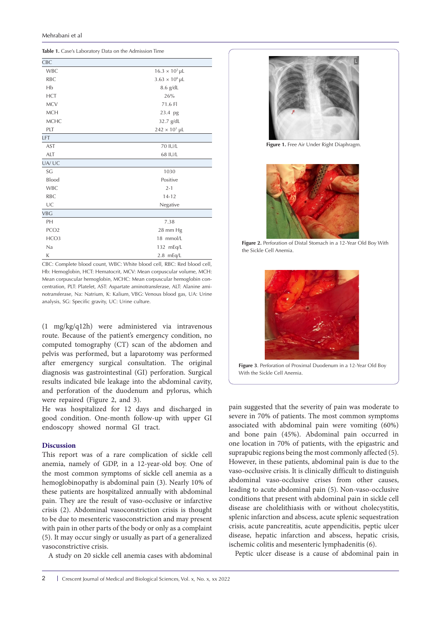| Table 1. Case's Laboratory Data on the Admission Time |  |  |  |  |
|-------------------------------------------------------|--|--|--|--|
|-------------------------------------------------------|--|--|--|--|

| CBC              |                              |  |  |
|------------------|------------------------------|--|--|
| <b>WBC</b>       | $16.3 \times 10^{3} \,\mu$ L |  |  |
| <b>RBC</b>       | $3.63 \times 10^6$ µL        |  |  |
| Hb               | $8.6$ g/dL                   |  |  |
| <b>HCT</b>       | 26%                          |  |  |
| <b>MCV</b>       | 71.6 Fl                      |  |  |
| <b>MCH</b>       | 23.4 pg                      |  |  |
| <b>MCHC</b>      | 32.7 g/dL                    |  |  |
| PLT              | $242 \times 10^3$ µL         |  |  |
| LFT              |                              |  |  |
| AST              | 70 IU/L                      |  |  |
| <b>ALT</b>       | 68 IU/L                      |  |  |
| UA/UC            |                              |  |  |
| SG               | 1030                         |  |  |
| Blood            | Positive                     |  |  |
| <b>WBC</b>       | $2 - 1$                      |  |  |
| <b>RBC</b>       | $14 - 12$                    |  |  |
| UC               | Negative                     |  |  |
| <b>VBG</b>       |                              |  |  |
| PH               | 7.38                         |  |  |
| PCO <sub>2</sub> | 28 mm Hg                     |  |  |
| HCO <sub>3</sub> | 18 mmol/L                    |  |  |
| Na               | 132 mEq/L                    |  |  |
| К                | $2.8$ mEq/L                  |  |  |

CBC: Complete blood count, WBC: White blood cell, RBC: Red blood cell, Hb: Hemoglobin, HCT: Hematocrit, MCV: Mean corpuscular volume, MCH: Mean corpuscular hemoglobin, MCHC: Mean corpuscular hemoglobin concentration, PLT: Platelet, AST: Aspartate aminotransferase, ALT: Alanine aminotransferase, Na: Natrium, K: Kalium, VBG: Venous blood gas, UA: Urine analysis, SG: Specific gravity, UC: Urine culture.

(1 mg/kg/q12h) were administered via intravenous route. Because of the patient's emergency condition, no computed tomography (CT) scan of the abdomen and pelvis was performed, but a laparotomy was performed after emergency surgical consultation. The original diagnosis was gastrointestinal (GI) perforation. Surgical results indicated bile leakage into the abdominal cavity, and perforation of the duodenum and pylorus, which were repaired (Figure 2, and 3).

He was hospitalized for 12 days and discharged in good condition. One-month follow-up with upper GI endoscopy showed normal GI tract.

# **Discussion**

This report was of a rare complication of sickle cell anemia, namely of GDP, in a 12-year-old boy. One of the most common symptoms of sickle cell anemia as a hemoglobinopathy is abdominal pain (3). Nearly 10% of these patients are hospitalized annually with abdominal pain. They are the result of vaso-occlusive or infarctive crisis (2). Abdominal vasoconstriction crisis is thought to be due to mesenteric vasoconstriction and may present with pain in other parts of the body or only as a complaint (5). It may occur singly or usually as part of a generalized vasoconstrictive crisis.

A study on 20 sickle cell anemia cases with abdominal



**Figure 1.** Free Air Under Right Diaphragm.



**Figure 2.** Perforation of Distal Stomach in a 12-Year Old Boy With the Sickle Cell Anemia.



**Figure 3**. Perforation of Proximal Duodenum in a 12-Year Old Boy With the Sickle Cell Anemia.

pain suggested that the severity of pain was moderate to severe in 70% of patients. The most common symptoms associated with abdominal pain were vomiting (60%) and bone pain (45%). Abdominal pain occurred in one location in 70% of patients, with the epigastric and suprapubic regions being the most commonly affected (5). However, in these patients, abdominal pain is due to the vaso-occlusive crisis. It is clinically difficult to distinguish abdominal vaso-occlusive crises from other causes, leading to acute abdominal pain (5). Non-vaso-occlusive conditions that present with abdominal pain in sickle cell disease are cholelithiasis with or without cholecystitis, splenic infarction and abscess, acute splenic sequestration crisis, acute pancreatitis, acute appendicitis, peptic ulcer disease, hepatic infarction and abscess, hepatic crisis, ischemic colitis and mesenteric lymphadenitis (6).

Peptic ulcer disease is a cause of abdominal pain in